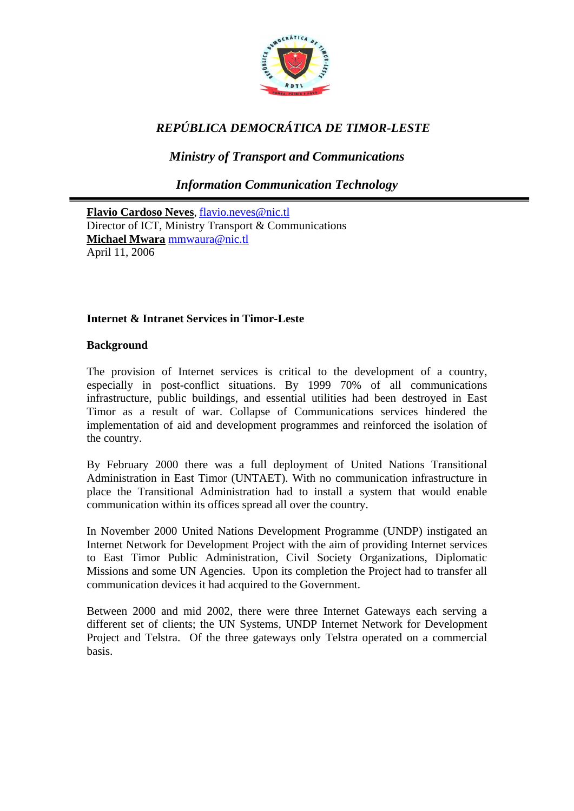

# *REPÚBLICA DEMOCRÁTICA DE TIMOR-LESTE*

*Ministry of Transport and Communications* 

*Information Communication Technology* 

**Flavio Cardoso Neves**, [flavio.neves@nic.tl](mailto:flavio.neves@nic.tl) Director of ICT, Ministry Transport & Communications **Michael Mwara** [mmwaura@nic.tl](mailto:mmwaura@nic.tl) April 11, 2006

# **Internet & Intranet Services in Timor-Leste**

## **Background**

The provision of Internet services is critical to the development of a country, especially in post-conflict situations. By 1999 70% of all communications infrastructure, public buildings, and essential utilities had been destroyed in East Timor as a result of war. Collapse of Communications services hindered the implementation of aid and development programmes and reinforced the isolation of the country.

By February 2000 there was a full deployment of United Nations Transitional Administration in East Timor (UNTAET). With no communication infrastructure in place the Transitional Administration had to install a system that would enable communication within its offices spread all over the country.

In November 2000 United Nations Development Programme (UNDP) instigated an Internet Network for Development Project with the aim of providing Internet services to East Timor Public Administration, Civil Society Organizations, Diplomatic Missions and some UN Agencies. Upon its completion the Project had to transfer all communication devices it had acquired to the Government.

Between 2000 and mid 2002, there were three Internet Gateways each serving a different set of clients; the UN Systems, UNDP Internet Network for Development Project and Telstra. Of the three gateways only Telstra operated on a commercial basis.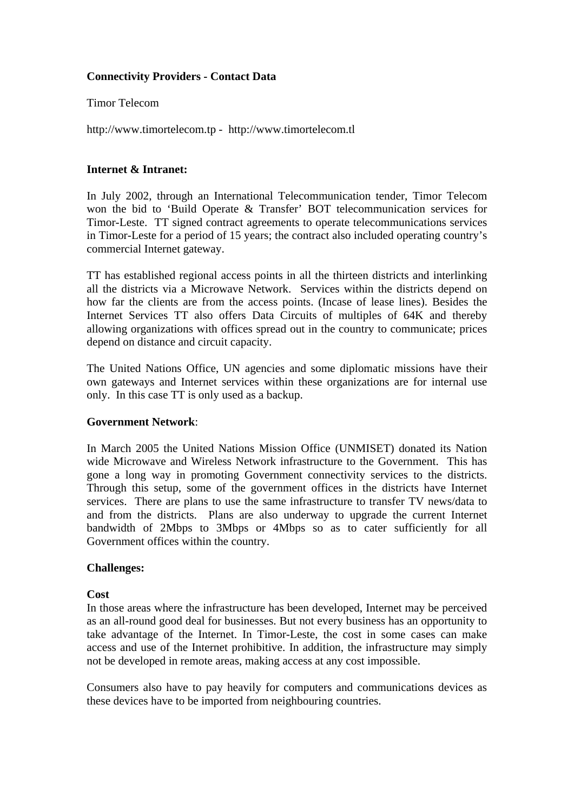## **Connectivity Providers - Contact Data**

## Timor Telecom

[http://www.timortelecom.tp](http://www.timortelecom.tp/) - http://www.timortelecom.tl

## **Internet & Intranet:**

In July 2002, through an International Telecommunication tender, Timor Telecom won the bid to 'Build Operate & Transfer' BOT telecommunication services for Timor-Leste. TT signed contract agreements to operate telecommunications services in Timor-Leste for a period of 15 years; the contract also included operating country's commercial Internet gateway.

TT has established regional access points in all the thirteen districts and interlinking all the districts via a Microwave Network. Services within the districts depend on how far the clients are from the access points. (Incase of lease lines). Besides the Internet Services TT also offers Data Circuits of multiples of 64K and thereby allowing organizations with offices spread out in the country to communicate; prices depend on distance and circuit capacity.

The United Nations Office, UN agencies and some diplomatic missions have their own gateways and Internet services within these organizations are for internal use only. In this case TT is only used as a backup.

## **Government Network**:

In March 2005 the United Nations Mission Office (UNMISET) donated its Nation wide Microwave and Wireless Network infrastructure to the Government. This has gone a long way in promoting Government connectivity services to the districts. Through this setup, some of the government offices in the districts have Internet services. There are plans to use the same infrastructure to transfer TV news/data to and from the districts. Plans are also underway to upgrade the current Internet bandwidth of 2Mbps to 3Mbps or 4Mbps so as to cater sufficiently for all Government offices within the country.

## **Challenges:**

## **Cost**

In those areas where the infrastructure has been developed, Internet may be perceived as an all-round good deal for businesses. But not every business has an opportunity to take advantage of the Internet. In Timor-Leste, the cost in some cases can make access and use of the Internet prohibitive. In addition, the infrastructure may simply not be developed in remote areas, making access at any cost impossible.

Consumers also have to pay heavily for computers and communications devices as these devices have to be imported from neighbouring countries.